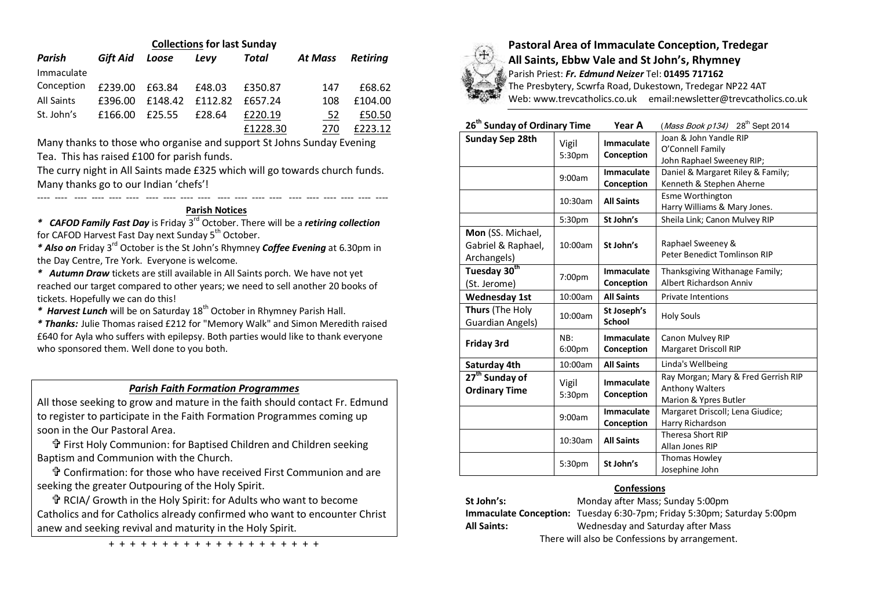| <b>Collections for last Sunday</b> |          |         |         |          |         |                 |  |  |
|------------------------------------|----------|---------|---------|----------|---------|-----------------|--|--|
| Parish                             | Gift Aid | Loose   | Levy    | Total    | At Mass | <b>Retiring</b> |  |  |
| Immaculate                         |          |         |         |          |         |                 |  |  |
| Conception                         | £239.00  | £63.84  | £48.03  | £350.87  | 147     | £68.62          |  |  |
| All Saints                         | £396.00  | £148.42 | £112.82 | £657.24  | 108     | £104.00         |  |  |
| St. John's                         | £166.00  | £25.55  | £28.64  | £220.19  | 52      | £50.50          |  |  |
|                                    |          |         |         | £1228.30 | 270     | F223.12         |  |  |

Many thanks to those who organise and support St Johns Sunday Evening Tea. This has raised £100 for parish funds.

The curry night in All Saints made £325 which will go towards church funds. Many thanks go to our Indian 'chefs'!

## ---- ---- ---- ---- ---- ---- ---- ---- ---- ---- ---- ---- ---- ---- ---- ---- ---- ---- ---- ---- **Parish Notices**

*\* CAFOD Family Fast Day* is Friday 3rd October. There will be a *retiring collection* for CAFOD Harvest Fast Day next Sunday 5<sup>th</sup> October.

*\* Also on* Friday 3rd October is the St John's Rhymney *Coffee Evening* at 6.30pm in the Day Centre, Tre York. Everyone is welcome.

*\* Autumn Draw* tickets are still available in All Saints porch. We have not yet reached our target compared to other years; we need to sell another 20 books of tickets. Hopefully we can do this!

*\* Harvest Lunch* will be on Saturday 18th October in Rhymney Parish Hall.

*\* Thanks:* Julie Thomas raised £212 for "Memory Walk" and Simon Meredith raised £640 for Ayla who suffers with epilepsy. Both parties would like to thank everyone who sponsored them. Well done to you both.

# *Parish Faith Formation Programmes*

All those seeking to grow and mature in the faith should contact Fr. Edmund to register to participate in the Faith Formation Programmes coming up soon in the Our Pastoral Area.

 First Holy Communion: for Baptised Children and Children seeking Baptism and Communion with the Church.

 Confirmation: for those who have received First Communion and are seeking the greater Outpouring of the Holy Spirit.

 RCIA/ Growth in the Holy Spirit: for Adults who want to become Catholics and for Catholics already confirmed who want to encounter Christ anew and seeking revival and maturity in the Holy Spirit.

+ + + + + + + + + + + + + + + + + + + +



# **Pastoral Area of Immaculate Conception, Tredegar All Saints, Ebbw Vale and St John's, Rhymney**

Parish Priest: *Fr. Edmund Neizer* Tel: **01495 717162**

The Presbytery, Scwrfa Road, Dukestown, Tredegar NP22 4AT Web: www.trevcatholics.co.uk email:newsletter@trevcatholics.co.uk

| 26 <sup>th</sup> Sunday of Ordinary Time               |                 | Year A                          | ( <i>Mass Book p134</i> ) 28 <sup>th</sup> Sept 2014                            |  |  |
|--------------------------------------------------------|-----------------|---------------------------------|---------------------------------------------------------------------------------|--|--|
| Sunday Sep 28th                                        | Vigil<br>5:30pm | <b>Immaculate</b><br>Conception | Joan & John Yandle RIP<br>O'Connell Family<br>John Raphael Sweeney RIP;         |  |  |
|                                                        | 9:00am          | <b>Immaculate</b><br>Conception | Daniel & Margaret Riley & Family;<br>Kenneth & Stephen Aherne                   |  |  |
|                                                        | 10:30am         |                                 | <b>Esme Worthington</b><br>Harry Williams & Mary Jones.                         |  |  |
|                                                        | 5:30pm          | St John's                       | Sheila Link; Canon Mulvey RIP                                                   |  |  |
| Mon (SS. Michael,<br>Gabriel & Raphael,<br>Archangels) | 10:00am         | St John's                       | Raphael Sweeney &<br>Peter Benedict Tomlinson RIP                               |  |  |
| Tuesday 30 <sup>th</sup><br>(St. Jerome)               | 7:00pm          | Immaculate<br>Conception        | Thanksgiving Withanage Family;<br>Albert Richardson Anniv                       |  |  |
| <b>Wednesday 1st</b>                                   | 10:00am         | <b>All Saints</b>               | <b>Private Intentions</b>                                                       |  |  |
| Thurs (The Holy<br><b>Guardian Angels)</b>             | 10:00am         | St Joseph's<br><b>School</b>    | <b>Holy Souls</b>                                                               |  |  |
| <b>Friday 3rd</b>                                      | NB:<br>6:00pm   | Immaculate<br>Conception        | Canon Mulvey RIP<br>Margaret Driscoll RIP                                       |  |  |
| Saturday 4th                                           | 10:00am         | <b>All Saints</b>               | Linda's Wellbeing                                                               |  |  |
| 27 <sup>th</sup> Sunday of<br><b>Ordinary Time</b>     | Vigil<br>5:30pm | Immaculate<br>Conception        | Ray Morgan; Mary & Fred Gerrish RIP<br>Anthony Walters<br>Marion & Ypres Butler |  |  |
|                                                        | 9:00am          | <b>Immaculate</b><br>Conception | Margaret Driscoll; Lena Giudice;<br>Harry Richardson                            |  |  |
| 10:30am<br>5:30pm                                      |                 | <b>All Saints</b>               | <b>Theresa Short RIP</b><br>Allan Jones RIP                                     |  |  |
|                                                        |                 | St John's                       | Thomas Howley<br>Josephine John                                                 |  |  |

## **Confessions**

**St John's:** Monday after Mass; Sunday 5:00pm **Immaculate Conception:** Tuesday 6:30-7pm; Friday 5:30pm; Saturday 5:00pm **All Saints:** Wednesday and Saturday after Mass There will also be Confessions by arrangement.